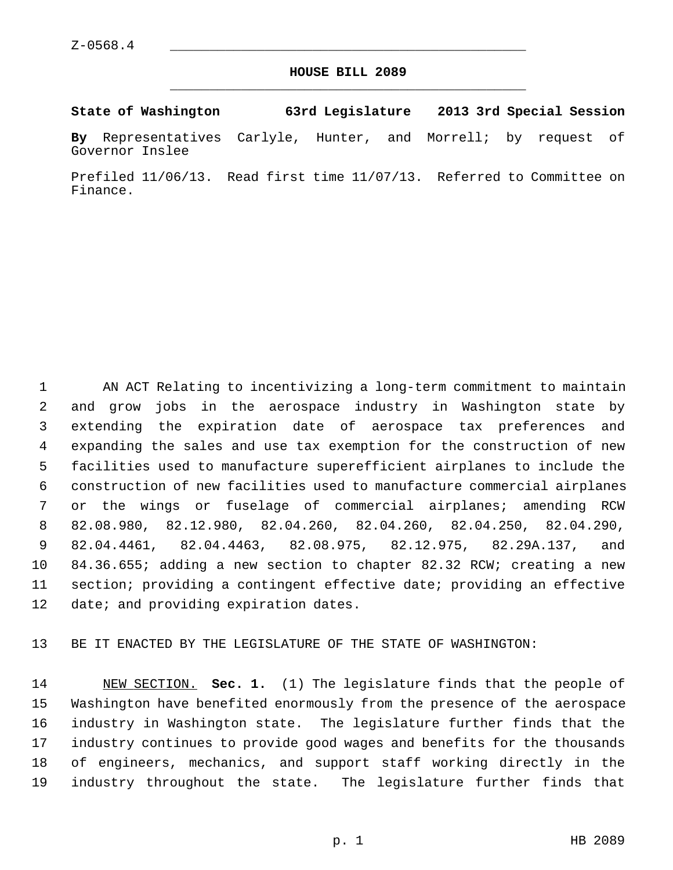## **HOUSE BILL 2089** \_\_\_\_\_\_\_\_\_\_\_\_\_\_\_\_\_\_\_\_\_\_\_\_\_\_\_\_\_\_\_\_\_\_\_\_\_\_\_\_\_\_\_\_\_

**State of Washington 63rd Legislature 2013 3rd Special Session**

**By** Representatives Carlyle, Hunter, and Morrell; by request of Governor Inslee

Prefiled 11/06/13. Read first time 11/07/13. Referred to Committee on Finance.

 1 AN ACT Relating to incentivizing a long-term commitment to maintain 2 and grow jobs in the aerospace industry in Washington state by 3 extending the expiration date of aerospace tax preferences and 4 expanding the sales and use tax exemption for the construction of new 5 facilities used to manufacture superefficient airplanes to include the 6 construction of new facilities used to manufacture commercial airplanes 7 or the wings or fuselage of commercial airplanes; amending RCW 8 82.08.980, 82.12.980, 82.04.260, 82.04.260, 82.04.250, 82.04.290, 9 82.04.4461, 82.04.4463, 82.08.975, 82.12.975, 82.29A.137, and 10 84.36.655; adding a new section to chapter 82.32 RCW; creating a new 11 section; providing a contingent effective date; providing an effective 12 date; and providing expiration dates.

13 BE IT ENACTED BY THE LEGISLATURE OF THE STATE OF WASHINGTON:

14 NEW SECTION. **Sec. 1.** (1) The legislature finds that the people of 15 Washington have benefited enormously from the presence of the aerospace 16 industry in Washington state. The legislature further finds that the 17 industry continues to provide good wages and benefits for the thousands 18 of engineers, mechanics, and support staff working directly in the 19 industry throughout the state. The legislature further finds that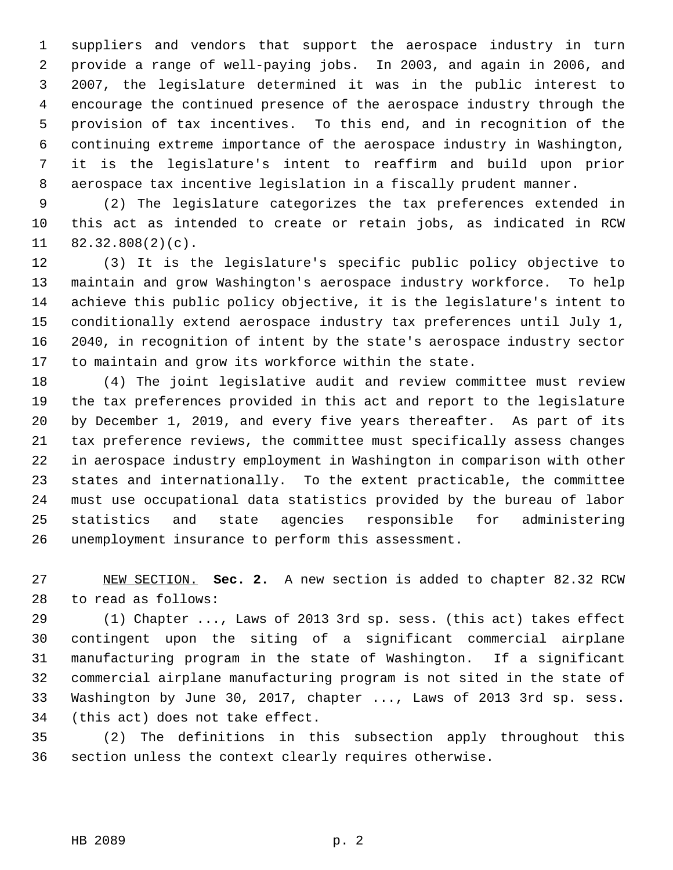1 suppliers and vendors that support the aerospace industry in turn 2 provide a range of well-paying jobs. In 2003, and again in 2006, and 3 2007, the legislature determined it was in the public interest to 4 encourage the continued presence of the aerospace industry through the 5 provision of tax incentives. To this end, and in recognition of the 6 continuing extreme importance of the aerospace industry in Washington, 7 it is the legislature's intent to reaffirm and build upon prior 8 aerospace tax incentive legislation in a fiscally prudent manner.

 9 (2) The legislature categorizes the tax preferences extended in 10 this act as intended to create or retain jobs, as indicated in RCW 11 82.32.808(2)(c).

12 (3) It is the legislature's specific public policy objective to 13 maintain and grow Washington's aerospace industry workforce. To help 14 achieve this public policy objective, it is the legislature's intent to 15 conditionally extend aerospace industry tax preferences until July 1, 16 2040, in recognition of intent by the state's aerospace industry sector 17 to maintain and grow its workforce within the state.

18 (4) The joint legislative audit and review committee must review 19 the tax preferences provided in this act and report to the legislature 20 by December 1, 2019, and every five years thereafter. As part of its 21 tax preference reviews, the committee must specifically assess changes 22 in aerospace industry employment in Washington in comparison with other 23 states and internationally. To the extent practicable, the committee 24 must use occupational data statistics provided by the bureau of labor 25 statistics and state agencies responsible for administering 26 unemployment insurance to perform this assessment.

27 NEW SECTION. **Sec. 2.** A new section is added to chapter 82.32 RCW 28 to read as follows:

29 (1) Chapter ..., Laws of 2013 3rd sp. sess. (this act) takes effect 30 contingent upon the siting of a significant commercial airplane 31 manufacturing program in the state of Washington. If a significant 32 commercial airplane manufacturing program is not sited in the state of 33 Washington by June 30, 2017, chapter ..., Laws of 2013 3rd sp. sess. 34 (this act) does not take effect.

35 (2) The definitions in this subsection apply throughout this 36 section unless the context clearly requires otherwise.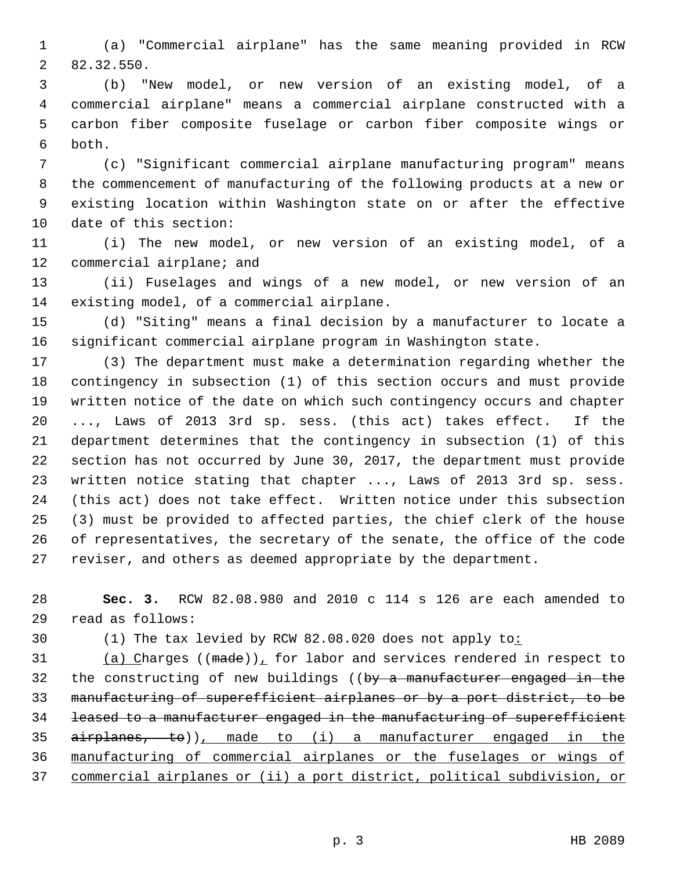1 (a) "Commercial airplane" has the same meaning provided in RCW 2 82.32.550.

 3 (b) "New model, or new version of an existing model, of a 4 commercial airplane" means a commercial airplane constructed with a 5 carbon fiber composite fuselage or carbon fiber composite wings or 6 both.

 7 (c) "Significant commercial airplane manufacturing program" means 8 the commencement of manufacturing of the following products at a new or 9 existing location within Washington state on or after the effective 10 date of this section:

11 (i) The new model, or new version of an existing model, of a 12 commercial airplane; and

13 (ii) Fuselages and wings of a new model, or new version of an 14 existing model, of a commercial airplane.

15 (d) "Siting" means a final decision by a manufacturer to locate a 16 significant commercial airplane program in Washington state.

17 (3) The department must make a determination regarding whether the 18 contingency in subsection (1) of this section occurs and must provide 19 written notice of the date on which such contingency occurs and chapter 20 ..., Laws of 2013 3rd sp. sess. (this act) takes effect. If the 21 department determines that the contingency in subsection (1) of this 22 section has not occurred by June 30, 2017, the department must provide 23 written notice stating that chapter ..., Laws of 2013 3rd sp. sess. 24 (this act) does not take effect. Written notice under this subsection 25 (3) must be provided to affected parties, the chief clerk of the house 26 of representatives, the secretary of the senate, the office of the code 27 reviser, and others as deemed appropriate by the department.

28 **Sec. 3.** RCW 82.08.980 and 2010 c 114 s 126 are each amended to 29 read as follows:

30 (1) The tax levied by RCW 82.08.020 does not apply to:

31 (a) Charges (( $\text{made}$ ), for labor and services rendered in respect to 32 the constructing of new buildings ((by a manufacturer engaged in the manufacturing of superefficient airplanes or by a port district, to be leased to a manufacturer engaged in the manufacturing of superefficient airplanes, to)), made to (i) a manufacturer engaged in the manufacturing of commercial airplanes or the fuselages or wings of commercial airplanes or (ii) a port district, political subdivision, or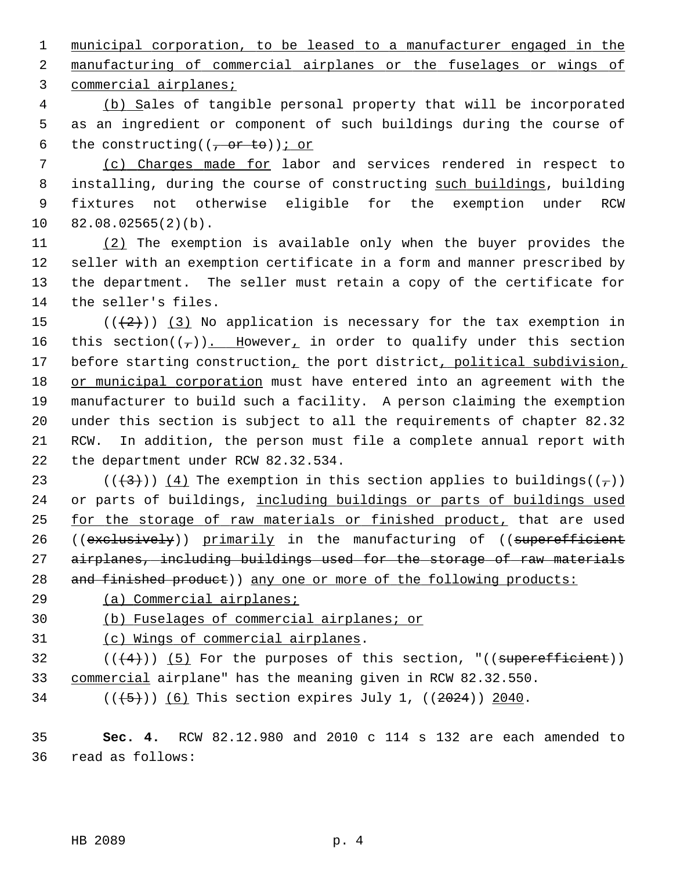1 municipal corporation, to be leased to a manufacturer engaged in the 2 manufacturing of commercial airplanes or the fuselages or wings of 3 commercial airplanes;

 4 (b) Sales of tangible personal property that will be incorporated 5 as an ingredient or component of such buildings during the course of 6 the constructing( $(-$ or to)); or

 7 (c) Charges made for labor and services rendered in respect to 8 installing, during the course of constructing such buildings, building 9 fixtures not otherwise eligible for the exemption under RCW 10 82.08.02565(2)(b).

11 (2) The exemption is available only when the buyer provides the 12 seller with an exemption certificate in a form and manner prescribed by 13 the department. The seller must retain a copy of the certificate for 14 the seller's files.

15  $((+2)^{n})$  (3) No application is necessary for the tax exemption in 16 this section( $(\tau)$ ). However, in order to qualify under this section 17 before starting construction, the port district, political subdivision, 18 or municipal corporation must have entered into an agreement with the 19 manufacturer to build such a facility. A person claiming the exemption 20 under this section is subject to all the requirements of chapter 82.32 21 RCW. In addition, the person must file a complete annual report with 22 the department under RCW 82.32.534.

23 ( $(\frac{43}{7})$ ) (4) The exemption in this section applies to buildings( $(\frac{7}{7})$ ) 24 or parts of buildings, including buildings or parts of buildings used 25 for the storage of raw materials or finished product, that are used 26 ((exclusively)) primarily in the manufacturing of ((superefficient 27 airplanes, including buildings used for the storage of raw materials 28 and finished product)) any one or more of the following products:

29 (a) Commercial airplanes;

30 (b) Fuselages of commercial airplanes; or

31 (c) Wings of commercial airplanes.

 $32$  (( $(4)$ )) (5) For the purposes of this section, "((superefficient)) 33 commercial airplane" has the meaning given in RCW 82.32.550.

 $(1, 5)$  (( $(5)$ )) (6) This section expires July 1, ((2024)) 2040.

35 **Sec. 4.** RCW 82.12.980 and 2010 c 114 s 132 are each amended to 36 read as follows: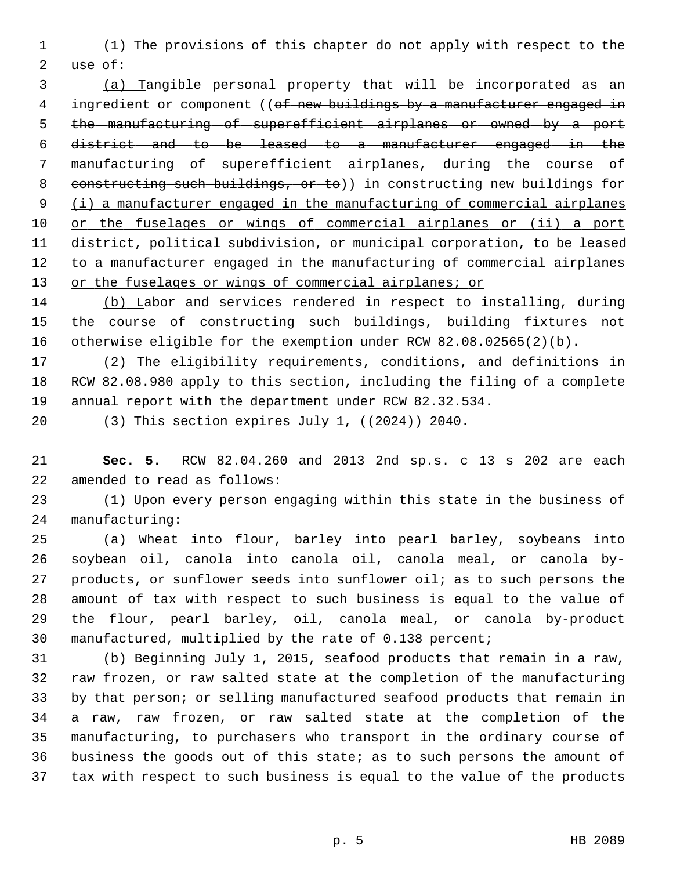1 (1) The provisions of this chapter do not apply with respect to the 2 use of:

 (a) Tangible personal property that will be incorporated as an 4 ingredient or component ((of new buildings by a manufacturer engaged in the manufacturing of superefficient airplanes or owned by a port district and to be leased to a manufacturer engaged in the manufacturing of superefficient airplanes, during the course of constructing such buildings, or to)) in constructing new buildings for (i) a manufacturer engaged in the manufacturing of commercial airplanes or the fuselages or wings of commercial airplanes or (ii) a port district, political subdivision, or municipal corporation, to be leased to a manufacturer engaged in the manufacturing of commercial airplanes or the fuselages or wings of commercial airplanes; or

14 (b) Labor and services rendered in respect to installing, during 15 the course of constructing such buildings, building fixtures not 16 otherwise eligible for the exemption under RCW 82.08.02565(2)(b).

17 (2) The eligibility requirements, conditions, and definitions in 18 RCW 82.08.980 apply to this section, including the filing of a complete 19 annual report with the department under RCW 82.32.534.

20 (3) This section expires July 1, ((2024)) 2040.

21 **Sec. 5.** RCW 82.04.260 and 2013 2nd sp.s. c 13 s 202 are each 22 amended to read as follows:

23 (1) Upon every person engaging within this state in the business of 24 manufacturing:

25 (a) Wheat into flour, barley into pearl barley, soybeans into 26 soybean oil, canola into canola oil, canola meal, or canola by-27 products, or sunflower seeds into sunflower oil; as to such persons the 28 amount of tax with respect to such business is equal to the value of 29 the flour, pearl barley, oil, canola meal, or canola by-product 30 manufactured, multiplied by the rate of 0.138 percent;

31 (b) Beginning July 1, 2015, seafood products that remain in a raw, 32 raw frozen, or raw salted state at the completion of the manufacturing 33 by that person; or selling manufactured seafood products that remain in 34 a raw, raw frozen, or raw salted state at the completion of the 35 manufacturing, to purchasers who transport in the ordinary course of 36 business the goods out of this state; as to such persons the amount of 37 tax with respect to such business is equal to the value of the products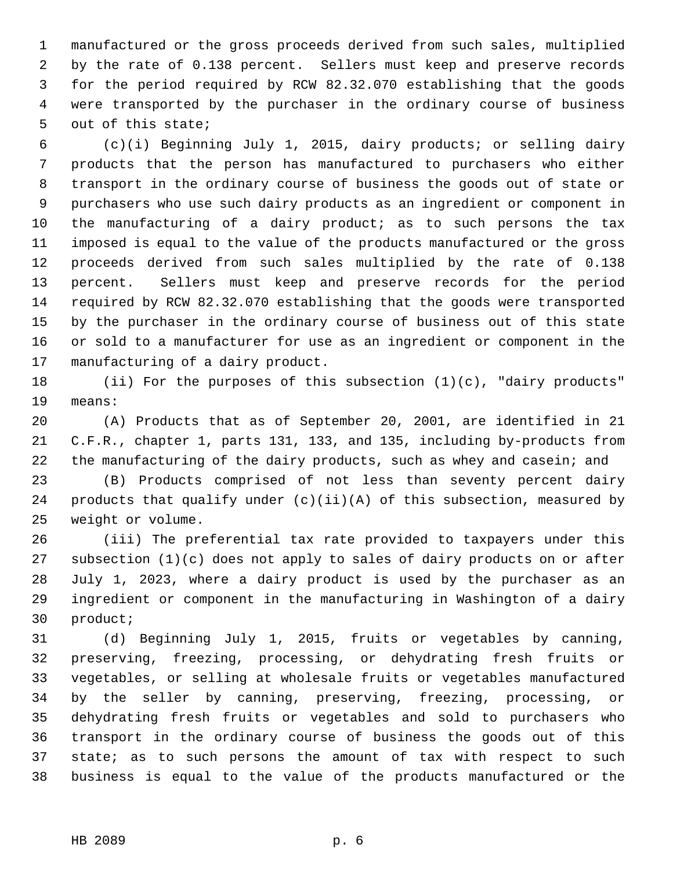1 manufactured or the gross proceeds derived from such sales, multiplied 2 by the rate of 0.138 percent. Sellers must keep and preserve records 3 for the period required by RCW 82.32.070 establishing that the goods 4 were transported by the purchaser in the ordinary course of business 5 out of this state;

 6 (c)(i) Beginning July 1, 2015, dairy products; or selling dairy 7 products that the person has manufactured to purchasers who either 8 transport in the ordinary course of business the goods out of state or 9 purchasers who use such dairy products as an ingredient or component in 10 the manufacturing of a dairy product; as to such persons the tax 11 imposed is equal to the value of the products manufactured or the gross 12 proceeds derived from such sales multiplied by the rate of 0.138 13 percent. Sellers must keep and preserve records for the period 14 required by RCW 82.32.070 establishing that the goods were transported 15 by the purchaser in the ordinary course of business out of this state 16 or sold to a manufacturer for use as an ingredient or component in the 17 manufacturing of a dairy product.

18 (ii) For the purposes of this subsection (1)(c), "dairy products" 19 means:

20 (A) Products that as of September 20, 2001, are identified in 21 21 C.F.R., chapter 1, parts 131, 133, and 135, including by-products from 22 the manufacturing of the dairy products, such as whey and casein; and

23 (B) Products comprised of not less than seventy percent dairy 24 products that qualify under  $(c)(ii)(A)$  of this subsection, measured by 25 weight or volume.

26 (iii) The preferential tax rate provided to taxpayers under this 27 subsection (1)(c) does not apply to sales of dairy products on or after 28 July 1, 2023, where a dairy product is used by the purchaser as an 29 ingredient or component in the manufacturing in Washington of a dairy 30 product;

31 (d) Beginning July 1, 2015, fruits or vegetables by canning, 32 preserving, freezing, processing, or dehydrating fresh fruits or 33 vegetables, or selling at wholesale fruits or vegetables manufactured 34 by the seller by canning, preserving, freezing, processing, or 35 dehydrating fresh fruits or vegetables and sold to purchasers who 36 transport in the ordinary course of business the goods out of this 37 state; as to such persons the amount of tax with respect to such 38 business is equal to the value of the products manufactured or the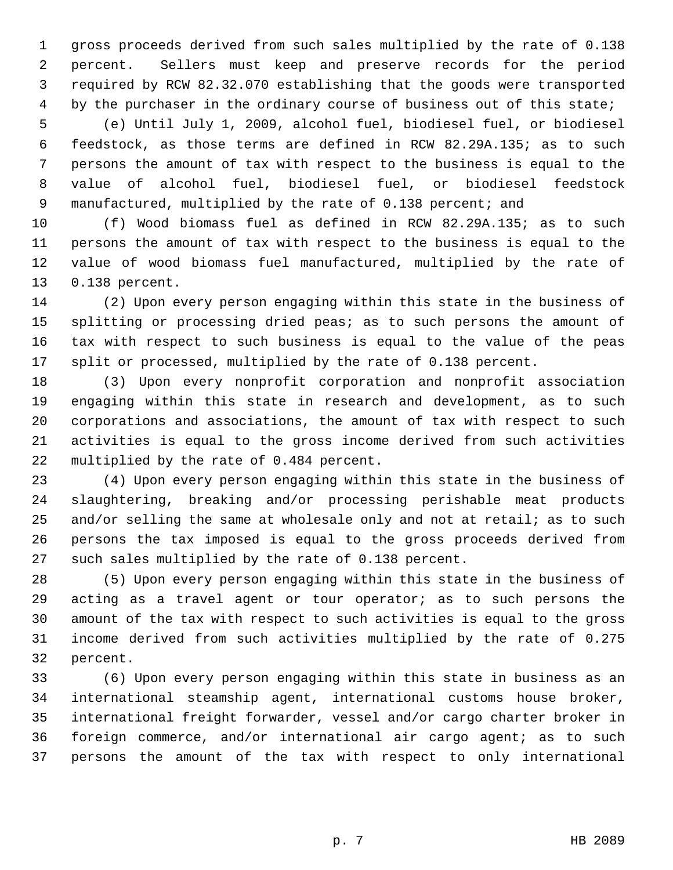1 gross proceeds derived from such sales multiplied by the rate of 0.138 2 percent. Sellers must keep and preserve records for the period 3 required by RCW 82.32.070 establishing that the goods were transported 4 by the purchaser in the ordinary course of business out of this state;

 5 (e) Until July 1, 2009, alcohol fuel, biodiesel fuel, or biodiesel 6 feedstock, as those terms are defined in RCW 82.29A.135; as to such 7 persons the amount of tax with respect to the business is equal to the 8 value of alcohol fuel, biodiesel fuel, or biodiesel feedstock 9 manufactured, multiplied by the rate of 0.138 percent; and

10 (f) Wood biomass fuel as defined in RCW 82.29A.135; as to such 11 persons the amount of tax with respect to the business is equal to the 12 value of wood biomass fuel manufactured, multiplied by the rate of 13 0.138 percent.

14 (2) Upon every person engaging within this state in the business of 15 splitting or processing dried peas; as to such persons the amount of 16 tax with respect to such business is equal to the value of the peas 17 split or processed, multiplied by the rate of 0.138 percent.

18 (3) Upon every nonprofit corporation and nonprofit association 19 engaging within this state in research and development, as to such 20 corporations and associations, the amount of tax with respect to such 21 activities is equal to the gross income derived from such activities 22 multiplied by the rate of 0.484 percent.

23 (4) Upon every person engaging within this state in the business of 24 slaughtering, breaking and/or processing perishable meat products 25 and/or selling the same at wholesale only and not at retail; as to such 26 persons the tax imposed is equal to the gross proceeds derived from 27 such sales multiplied by the rate of 0.138 percent.

28 (5) Upon every person engaging within this state in the business of 29 acting as a travel agent or tour operator; as to such persons the 30 amount of the tax with respect to such activities is equal to the gross 31 income derived from such activities multiplied by the rate of 0.275 32 percent.

33 (6) Upon every person engaging within this state in business as an 34 international steamship agent, international customs house broker, 35 international freight forwarder, vessel and/or cargo charter broker in 36 foreign commerce, and/or international air cargo agent; as to such 37 persons the amount of the tax with respect to only international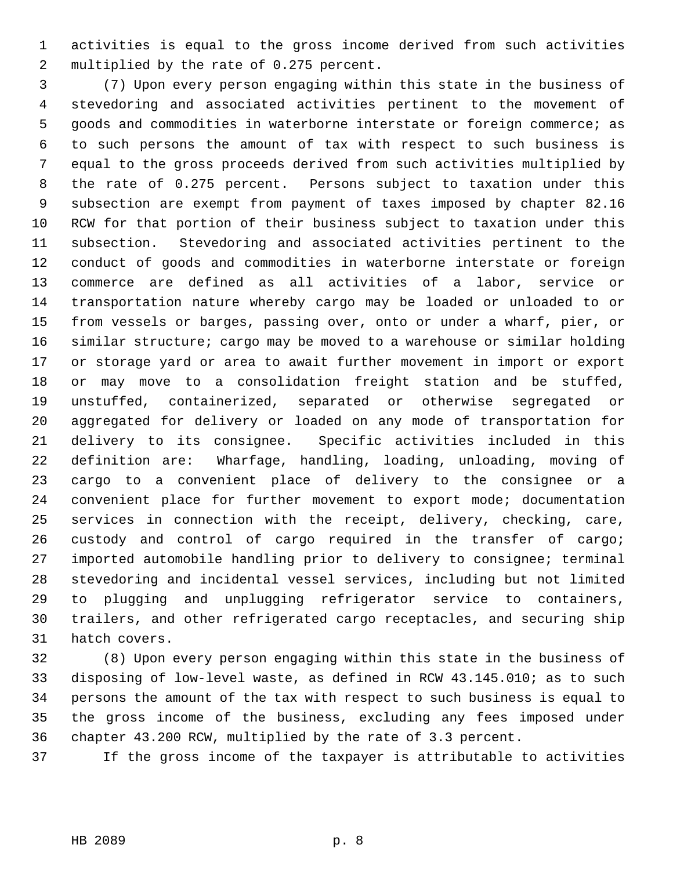1 activities is equal to the gross income derived from such activities 2 multiplied by the rate of 0.275 percent.

 3 (7) Upon every person engaging within this state in the business of 4 stevedoring and associated activities pertinent to the movement of 5 goods and commodities in waterborne interstate or foreign commerce; as 6 to such persons the amount of tax with respect to such business is 7 equal to the gross proceeds derived from such activities multiplied by 8 the rate of 0.275 percent. Persons subject to taxation under this 9 subsection are exempt from payment of taxes imposed by chapter 82.16 10 RCW for that portion of their business subject to taxation under this 11 subsection. Stevedoring and associated activities pertinent to the 12 conduct of goods and commodities in waterborne interstate or foreign 13 commerce are defined as all activities of a labor, service or 14 transportation nature whereby cargo may be loaded or unloaded to or 15 from vessels or barges, passing over, onto or under a wharf, pier, or 16 similar structure; cargo may be moved to a warehouse or similar holding 17 or storage yard or area to await further movement in import or export 18 or may move to a consolidation freight station and be stuffed, 19 unstuffed, containerized, separated or otherwise segregated or 20 aggregated for delivery or loaded on any mode of transportation for 21 delivery to its consignee. Specific activities included in this 22 definition are: Wharfage, handling, loading, unloading, moving of 23 cargo to a convenient place of delivery to the consignee or a 24 convenient place for further movement to export mode; documentation 25 services in connection with the receipt, delivery, checking, care, 26 custody and control of cargo required in the transfer of cargo; 27 imported automobile handling prior to delivery to consignee; terminal 28 stevedoring and incidental vessel services, including but not limited 29 to plugging and unplugging refrigerator service to containers, 30 trailers, and other refrigerated cargo receptacles, and securing ship 31 hatch covers.

32 (8) Upon every person engaging within this state in the business of 33 disposing of low-level waste, as defined in RCW 43.145.010; as to such 34 persons the amount of the tax with respect to such business is equal to 35 the gross income of the business, excluding any fees imposed under 36 chapter 43.200 RCW, multiplied by the rate of 3.3 percent.

37 If the gross income of the taxpayer is attributable to activities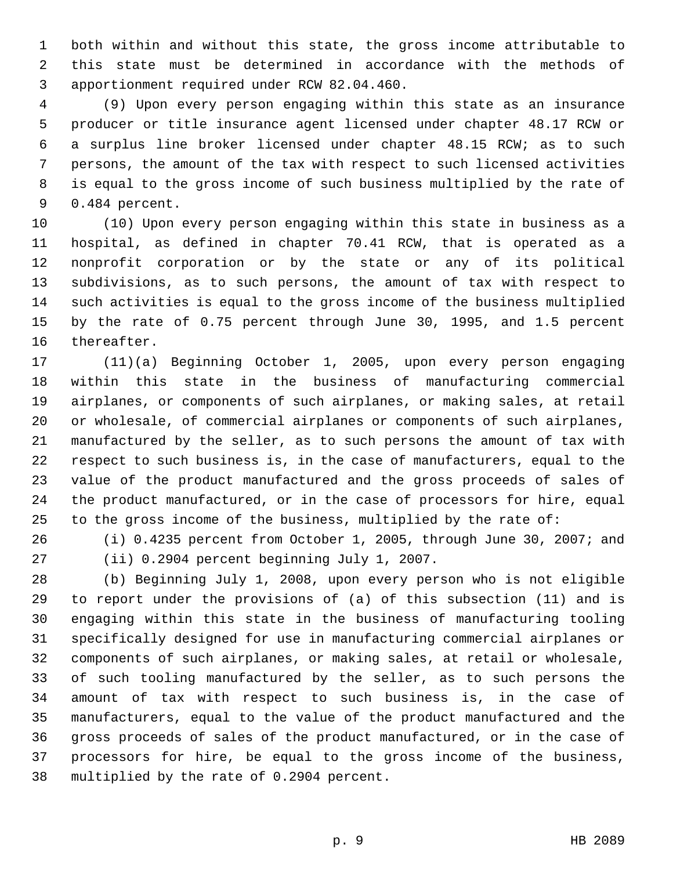1 both within and without this state, the gross income attributable to 2 this state must be determined in accordance with the methods of 3 apportionment required under RCW 82.04.460.

 4 (9) Upon every person engaging within this state as an insurance 5 producer or title insurance agent licensed under chapter 48.17 RCW or 6 a surplus line broker licensed under chapter 48.15 RCW; as to such 7 persons, the amount of the tax with respect to such licensed activities 8 is equal to the gross income of such business multiplied by the rate of 9 0.484 percent.

10 (10) Upon every person engaging within this state in business as a 11 hospital, as defined in chapter 70.41 RCW, that is operated as a 12 nonprofit corporation or by the state or any of its political 13 subdivisions, as to such persons, the amount of tax with respect to 14 such activities is equal to the gross income of the business multiplied 15 by the rate of 0.75 percent through June 30, 1995, and 1.5 percent 16 thereafter.

17 (11)(a) Beginning October 1, 2005, upon every person engaging 18 within this state in the business of manufacturing commercial 19 airplanes, or components of such airplanes, or making sales, at retail 20 or wholesale, of commercial airplanes or components of such airplanes, 21 manufactured by the seller, as to such persons the amount of tax with 22 respect to such business is, in the case of manufacturers, equal to the 23 value of the product manufactured and the gross proceeds of sales of 24 the product manufactured, or in the case of processors for hire, equal 25 to the gross income of the business, multiplied by the rate of:

- 
- 

26 (i) 0.4235 percent from October 1, 2005, through June 30, 2007; and 27 (ii) 0.2904 percent beginning July 1, 2007.

28 (b) Beginning July 1, 2008, upon every person who is not eligible 29 to report under the provisions of (a) of this subsection (11) and is 30 engaging within this state in the business of manufacturing tooling 31 specifically designed for use in manufacturing commercial airplanes or 32 components of such airplanes, or making sales, at retail or wholesale, 33 of such tooling manufactured by the seller, as to such persons the 34 amount of tax with respect to such business is, in the case of 35 manufacturers, equal to the value of the product manufactured and the 36 gross proceeds of sales of the product manufactured, or in the case of 37 processors for hire, be equal to the gross income of the business, 38 multiplied by the rate of 0.2904 percent.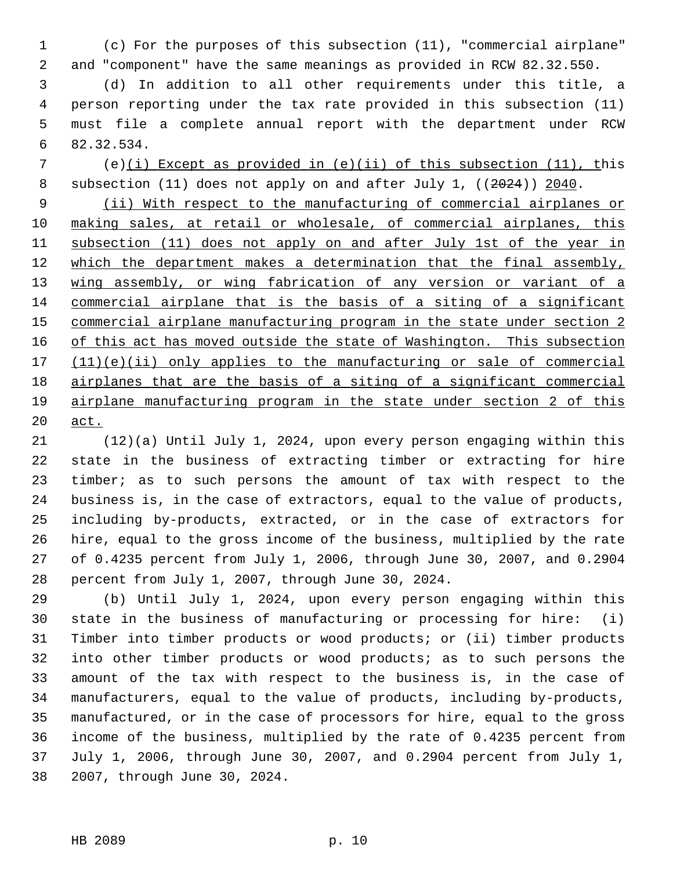1 (c) For the purposes of this subsection (11), "commercial airplane" 2 and "component" have the same meanings as provided in RCW 82.32.550.

 3 (d) In addition to all other requirements under this title, a 4 person reporting under the tax rate provided in this subsection (11) 5 must file a complete annual report with the department under RCW 6 82.32.534.

 7 (e)(i) Except as provided in (e)(ii) of this subsection (11), this 8 subsection (11) does not apply on and after July 1, ((2024)) 2040.

 (ii) With respect to the manufacturing of commercial airplanes or making sales, at retail or wholesale, of commercial airplanes, this subsection (11) does not apply on and after July 1st of the year in which the department makes a determination that the final assembly, 13 wing assembly, or wing fabrication of any version or variant of a commercial airplane that is the basis of a siting of a significant commercial airplane manufacturing program in the state under section 2 of this act has moved outside the state of Washington. This subsection (11)(e)(ii) only applies to the manufacturing or sale of commercial airplanes that are the basis of a siting of a significant commercial airplane manufacturing program in the state under section 2 of this 20 act.

21 (12)(a) Until July 1, 2024, upon every person engaging within this 22 state in the business of extracting timber or extracting for hire 23 timber; as to such persons the amount of tax with respect to the 24 business is, in the case of extractors, equal to the value of products, 25 including by-products, extracted, or in the case of extractors for 26 hire, equal to the gross income of the business, multiplied by the rate 27 of 0.4235 percent from July 1, 2006, through June 30, 2007, and 0.2904 28 percent from July 1, 2007, through June 30, 2024.

29 (b) Until July 1, 2024, upon every person engaging within this 30 state in the business of manufacturing or processing for hire: (i) 31 Timber into timber products or wood products; or (ii) timber products 32 into other timber products or wood products; as to such persons the 33 amount of the tax with respect to the business is, in the case of 34 manufacturers, equal to the value of products, including by-products, 35 manufactured, or in the case of processors for hire, equal to the gross 36 income of the business, multiplied by the rate of 0.4235 percent from 37 July 1, 2006, through June 30, 2007, and 0.2904 percent from July 1, 38 2007, through June 30, 2024.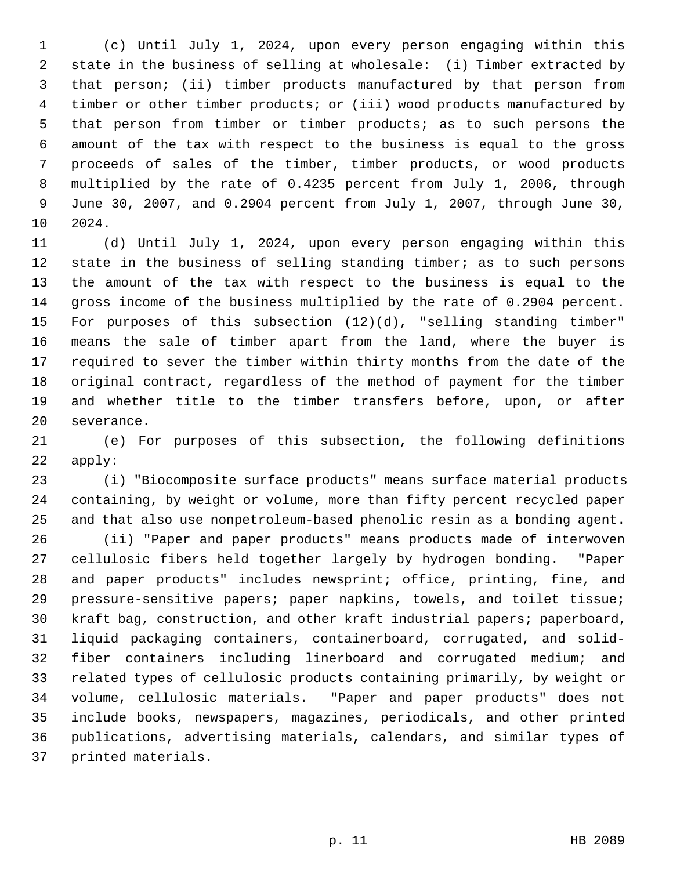1 (c) Until July 1, 2024, upon every person engaging within this 2 state in the business of selling at wholesale: (i) Timber extracted by 3 that person; (ii) timber products manufactured by that person from 4 timber or other timber products; or (iii) wood products manufactured by 5 that person from timber or timber products; as to such persons the 6 amount of the tax with respect to the business is equal to the gross 7 proceeds of sales of the timber, timber products, or wood products 8 multiplied by the rate of 0.4235 percent from July 1, 2006, through 9 June 30, 2007, and 0.2904 percent from July 1, 2007, through June 30, 10 2024.

11 (d) Until July 1, 2024, upon every person engaging within this 12 state in the business of selling standing timber; as to such persons 13 the amount of the tax with respect to the business is equal to the 14 gross income of the business multiplied by the rate of 0.2904 percent. 15 For purposes of this subsection (12)(d), "selling standing timber" 16 means the sale of timber apart from the land, where the buyer is 17 required to sever the timber within thirty months from the date of the 18 original contract, regardless of the method of payment for the timber 19 and whether title to the timber transfers before, upon, or after 20 severance.

21 (e) For purposes of this subsection, the following definitions 22 apply:

23 (i) "Biocomposite surface products" means surface material products 24 containing, by weight or volume, more than fifty percent recycled paper 25 and that also use nonpetroleum-based phenolic resin as a bonding agent.

26 (ii) "Paper and paper products" means products made of interwoven 27 cellulosic fibers held together largely by hydrogen bonding. "Paper 28 and paper products" includes newsprint; office, printing, fine, and 29 pressure-sensitive papers; paper napkins, towels, and toilet tissue; 30 kraft bag, construction, and other kraft industrial papers; paperboard, 31 liquid packaging containers, containerboard, corrugated, and solid-32 fiber containers including linerboard and corrugated medium; and 33 related types of cellulosic products containing primarily, by weight or 34 volume, cellulosic materials. "Paper and paper products" does not 35 include books, newspapers, magazines, periodicals, and other printed 36 publications, advertising materials, calendars, and similar types of 37 printed materials.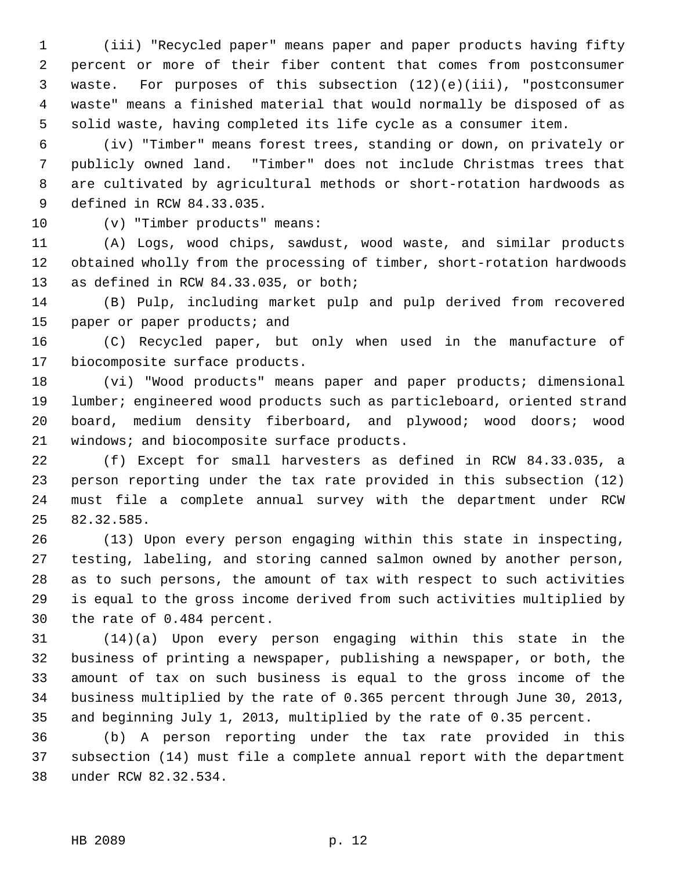1 (iii) "Recycled paper" means paper and paper products having fifty 2 percent or more of their fiber content that comes from postconsumer 3 waste. For purposes of this subsection (12)(e)(iii), "postconsumer 4 waste" means a finished material that would normally be disposed of as 5 solid waste, having completed its life cycle as a consumer item.

 6 (iv) "Timber" means forest trees, standing or down, on privately or 7 publicly owned land. "Timber" does not include Christmas trees that 8 are cultivated by agricultural methods or short-rotation hardwoods as 9 defined in RCW 84.33.035.

10 (v) "Timber products" means:

11 (A) Logs, wood chips, sawdust, wood waste, and similar products 12 obtained wholly from the processing of timber, short-rotation hardwoods 13 as defined in RCW 84.33.035, or both;

14 (B) Pulp, including market pulp and pulp derived from recovered 15 paper or paper products; and

16 (C) Recycled paper, but only when used in the manufacture of 17 biocomposite surface products.

18 (vi) "Wood products" means paper and paper products; dimensional 19 lumber; engineered wood products such as particleboard, oriented strand 20 board, medium density fiberboard, and plywood; wood doors; wood 21 windows; and biocomposite surface products.

22 (f) Except for small harvesters as defined in RCW 84.33.035, a 23 person reporting under the tax rate provided in this subsection (12) 24 must file a complete annual survey with the department under RCW 25 82.32.585.

26 (13) Upon every person engaging within this state in inspecting, 27 testing, labeling, and storing canned salmon owned by another person, 28 as to such persons, the amount of tax with respect to such activities 29 is equal to the gross income derived from such activities multiplied by 30 the rate of 0.484 percent.

31 (14)(a) Upon every person engaging within this state in the 32 business of printing a newspaper, publishing a newspaper, or both, the 33 amount of tax on such business is equal to the gross income of the 34 business multiplied by the rate of 0.365 percent through June 30, 2013, 35 and beginning July 1, 2013, multiplied by the rate of 0.35 percent.

36 (b) A person reporting under the tax rate provided in this 37 subsection (14) must file a complete annual report with the department 38 under RCW 82.32.534.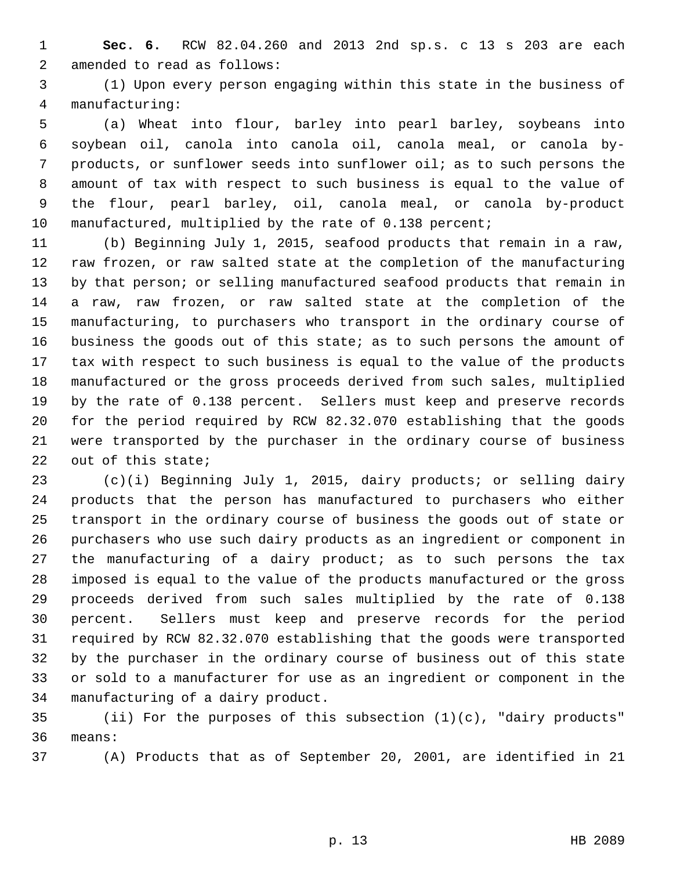1 **Sec. 6.** RCW 82.04.260 and 2013 2nd sp.s. c 13 s 203 are each 2 amended to read as follows:

 3 (1) Upon every person engaging within this state in the business of 4 manufacturing:

 5 (a) Wheat into flour, barley into pearl barley, soybeans into 6 soybean oil, canola into canola oil, canola meal, or canola by- 7 products, or sunflower seeds into sunflower oil; as to such persons the 8 amount of tax with respect to such business is equal to the value of 9 the flour, pearl barley, oil, canola meal, or canola by-product 10 manufactured, multiplied by the rate of 0.138 percent;

11 (b) Beginning July 1, 2015, seafood products that remain in a raw, 12 raw frozen, or raw salted state at the completion of the manufacturing 13 by that person; or selling manufactured seafood products that remain in 14 a raw, raw frozen, or raw salted state at the completion of the 15 manufacturing, to purchasers who transport in the ordinary course of 16 business the goods out of this state; as to such persons the amount of 17 tax with respect to such business is equal to the value of the products 18 manufactured or the gross proceeds derived from such sales, multiplied 19 by the rate of 0.138 percent. Sellers must keep and preserve records 20 for the period required by RCW 82.32.070 establishing that the goods 21 were transported by the purchaser in the ordinary course of business 22 out of this state;

23 (c)(i) Beginning July 1, 2015, dairy products; or selling dairy 24 products that the person has manufactured to purchasers who either 25 transport in the ordinary course of business the goods out of state or 26 purchasers who use such dairy products as an ingredient or component in 27 the manufacturing of a dairy product; as to such persons the tax 28 imposed is equal to the value of the products manufactured or the gross 29 proceeds derived from such sales multiplied by the rate of 0.138 30 percent. Sellers must keep and preserve records for the period 31 required by RCW 82.32.070 establishing that the goods were transported 32 by the purchaser in the ordinary course of business out of this state 33 or sold to a manufacturer for use as an ingredient or component in the 34 manufacturing of a dairy product.

35 (ii) For the purposes of this subsection  $(1)(c)$ , "dairy products" 36 means:

37 (A) Products that as of September 20, 2001, are identified in 21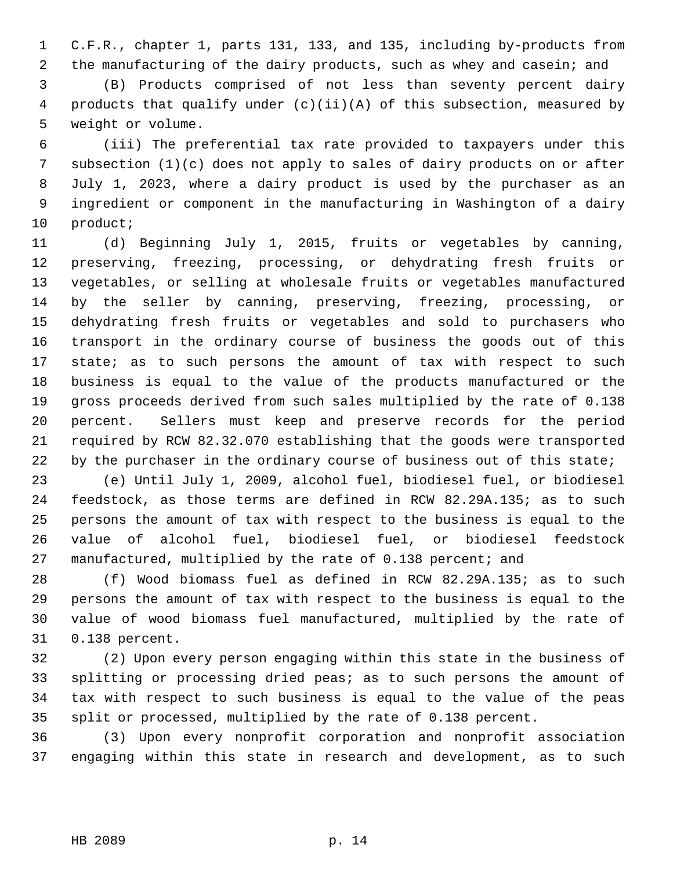1 C.F.R., chapter 1, parts 131, 133, and 135, including by-products from 2 the manufacturing of the dairy products, such as whey and casein; and

 3 (B) Products comprised of not less than seventy percent dairy 4 products that qualify under (c)(ii)(A) of this subsection, measured by 5 weight or volume.

 6 (iii) The preferential tax rate provided to taxpayers under this 7 subsection (1)(c) does not apply to sales of dairy products on or after 8 July 1, 2023, where a dairy product is used by the purchaser as an 9 ingredient or component in the manufacturing in Washington of a dairy 10 product;

11 (d) Beginning July 1, 2015, fruits or vegetables by canning, 12 preserving, freezing, processing, or dehydrating fresh fruits or 13 vegetables, or selling at wholesale fruits or vegetables manufactured 14 by the seller by canning, preserving, freezing, processing, or 15 dehydrating fresh fruits or vegetables and sold to purchasers who 16 transport in the ordinary course of business the goods out of this 17 state; as to such persons the amount of tax with respect to such 18 business is equal to the value of the products manufactured or the 19 gross proceeds derived from such sales multiplied by the rate of 0.138 20 percent. Sellers must keep and preserve records for the period 21 required by RCW 82.32.070 establishing that the goods were transported 22 by the purchaser in the ordinary course of business out of this state;

23 (e) Until July 1, 2009, alcohol fuel, biodiesel fuel, or biodiesel 24 feedstock, as those terms are defined in RCW 82.29A.135; as to such 25 persons the amount of tax with respect to the business is equal to the 26 value of alcohol fuel, biodiesel fuel, or biodiesel feedstock 27 manufactured, multiplied by the rate of 0.138 percent; and

28 (f) Wood biomass fuel as defined in RCW 82.29A.135; as to such 29 persons the amount of tax with respect to the business is equal to the 30 value of wood biomass fuel manufactured, multiplied by the rate of 31 0.138 percent.

32 (2) Upon every person engaging within this state in the business of 33 splitting or processing dried peas; as to such persons the amount of 34 tax with respect to such business is equal to the value of the peas 35 split or processed, multiplied by the rate of 0.138 percent.

36 (3) Upon every nonprofit corporation and nonprofit association 37 engaging within this state in research and development, as to such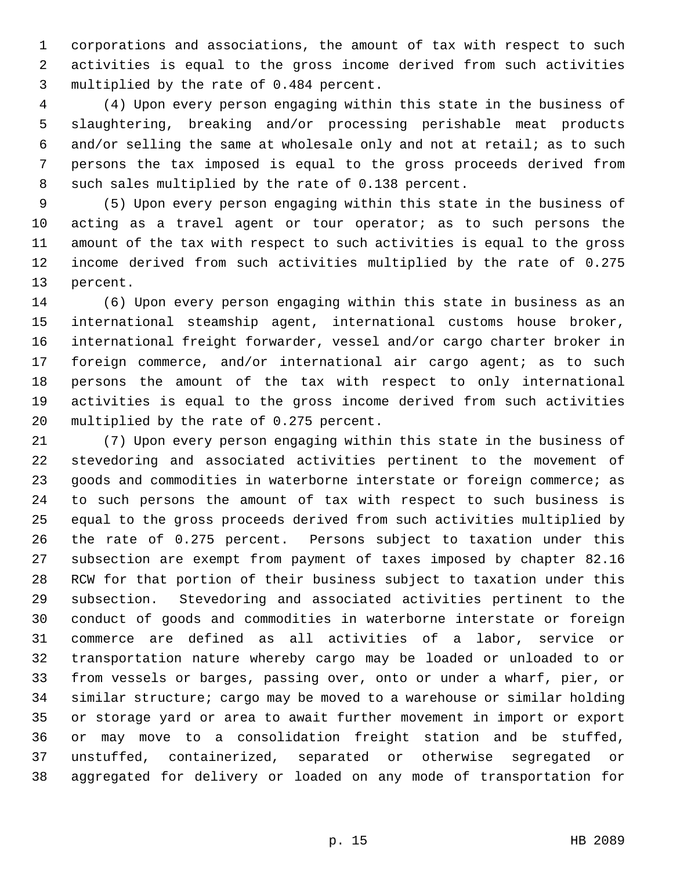1 corporations and associations, the amount of tax with respect to such 2 activities is equal to the gross income derived from such activities 3 multiplied by the rate of 0.484 percent.

 4 (4) Upon every person engaging within this state in the business of 5 slaughtering, breaking and/or processing perishable meat products 6 and/or selling the same at wholesale only and not at retail; as to such 7 persons the tax imposed is equal to the gross proceeds derived from 8 such sales multiplied by the rate of 0.138 percent.

 9 (5) Upon every person engaging within this state in the business of 10 acting as a travel agent or tour operator; as to such persons the 11 amount of the tax with respect to such activities is equal to the gross 12 income derived from such activities multiplied by the rate of 0.275 13 percent.

14 (6) Upon every person engaging within this state in business as an 15 international steamship agent, international customs house broker, 16 international freight forwarder, vessel and/or cargo charter broker in 17 foreign commerce, and/or international air cargo agent; as to such 18 persons the amount of the tax with respect to only international 19 activities is equal to the gross income derived from such activities 20 multiplied by the rate of 0.275 percent.

21 (7) Upon every person engaging within this state in the business of 22 stevedoring and associated activities pertinent to the movement of 23 goods and commodities in waterborne interstate or foreign commerce; as 24 to such persons the amount of tax with respect to such business is 25 equal to the gross proceeds derived from such activities multiplied by 26 the rate of 0.275 percent. Persons subject to taxation under this 27 subsection are exempt from payment of taxes imposed by chapter 82.16 28 RCW for that portion of their business subject to taxation under this 29 subsection. Stevedoring and associated activities pertinent to the 30 conduct of goods and commodities in waterborne interstate or foreign 31 commerce are defined as all activities of a labor, service or 32 transportation nature whereby cargo may be loaded or unloaded to or 33 from vessels or barges, passing over, onto or under a wharf, pier, or 34 similar structure; cargo may be moved to a warehouse or similar holding 35 or storage yard or area to await further movement in import or export 36 or may move to a consolidation freight station and be stuffed, 37 unstuffed, containerized, separated or otherwise segregated or 38 aggregated for delivery or loaded on any mode of transportation for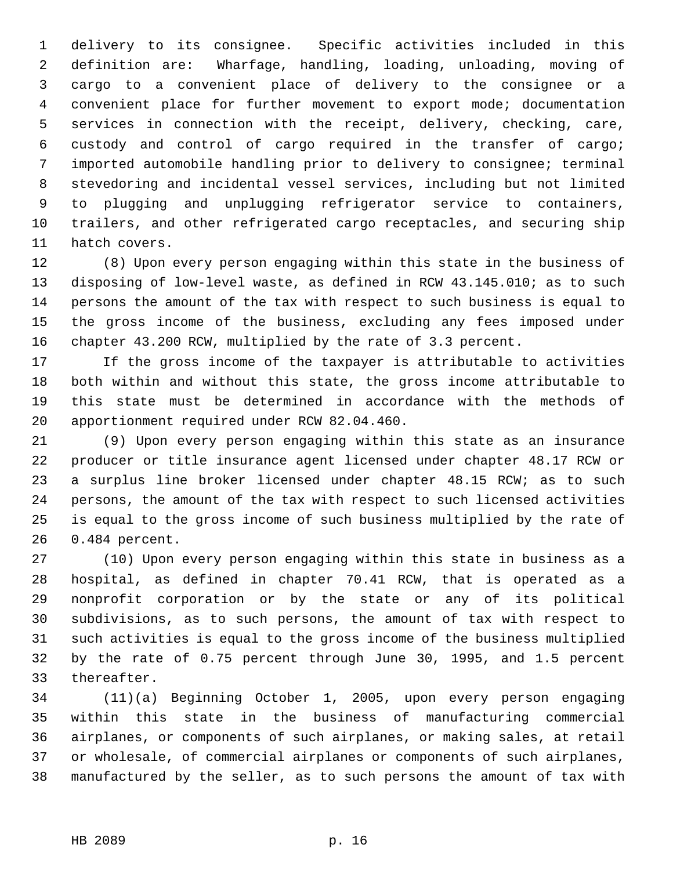1 delivery to its consignee. Specific activities included in this 2 definition are: Wharfage, handling, loading, unloading, moving of 3 cargo to a convenient place of delivery to the consignee or a 4 convenient place for further movement to export mode; documentation 5 services in connection with the receipt, delivery, checking, care, 6 custody and control of cargo required in the transfer of cargo; 7 imported automobile handling prior to delivery to consignee; terminal 8 stevedoring and incidental vessel services, including but not limited 9 to plugging and unplugging refrigerator service to containers, 10 trailers, and other refrigerated cargo receptacles, and securing ship 11 hatch covers.

12 (8) Upon every person engaging within this state in the business of 13 disposing of low-level waste, as defined in RCW 43.145.010; as to such 14 persons the amount of the tax with respect to such business is equal to 15 the gross income of the business, excluding any fees imposed under 16 chapter 43.200 RCW, multiplied by the rate of 3.3 percent.

17 If the gross income of the taxpayer is attributable to activities 18 both within and without this state, the gross income attributable to 19 this state must be determined in accordance with the methods of 20 apportionment required under RCW 82.04.460.

21 (9) Upon every person engaging within this state as an insurance 22 producer or title insurance agent licensed under chapter 48.17 RCW or 23 a surplus line broker licensed under chapter 48.15 RCW; as to such 24 persons, the amount of the tax with respect to such licensed activities 25 is equal to the gross income of such business multiplied by the rate of 26 0.484 percent.

27 (10) Upon every person engaging within this state in business as a 28 hospital, as defined in chapter 70.41 RCW, that is operated as a 29 nonprofit corporation or by the state or any of its political 30 subdivisions, as to such persons, the amount of tax with respect to 31 such activities is equal to the gross income of the business multiplied 32 by the rate of 0.75 percent through June 30, 1995, and 1.5 percent 33 thereafter.

34 (11)(a) Beginning October 1, 2005, upon every person engaging 35 within this state in the business of manufacturing commercial 36 airplanes, or components of such airplanes, or making sales, at retail 37 or wholesale, of commercial airplanes or components of such airplanes, 38 manufactured by the seller, as to such persons the amount of tax with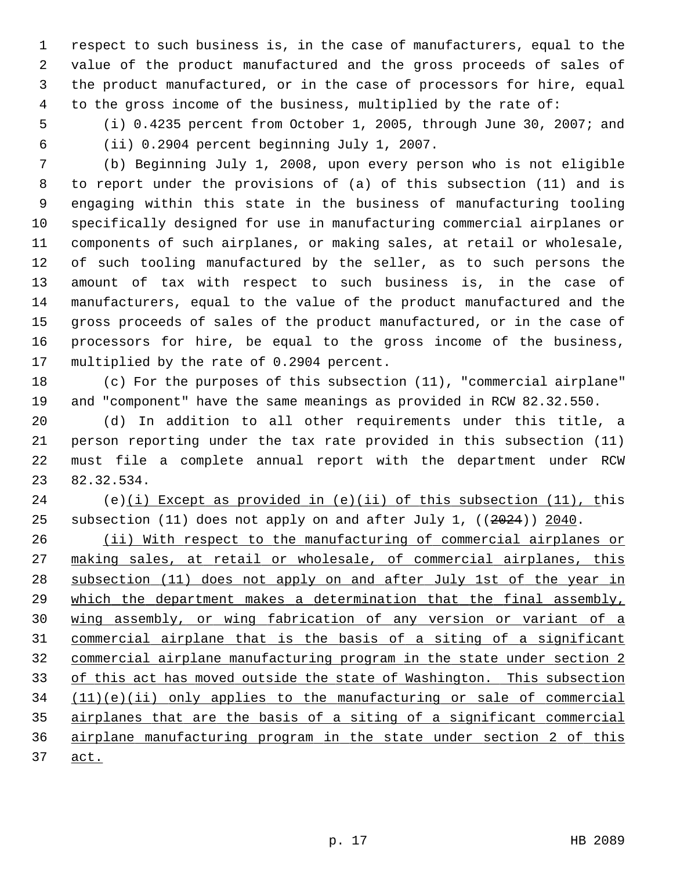1 respect to such business is, in the case of manufacturers, equal to the 2 value of the product manufactured and the gross proceeds of sales of 3 the product manufactured, or in the case of processors for hire, equal 4 to the gross income of the business, multiplied by the rate of:

 5 (i) 0.4235 percent from October 1, 2005, through June 30, 2007; and 6 (ii) 0.2904 percent beginning July 1, 2007.

 7 (b) Beginning July 1, 2008, upon every person who is not eligible 8 to report under the provisions of (a) of this subsection (11) and is 9 engaging within this state in the business of manufacturing tooling 10 specifically designed for use in manufacturing commercial airplanes or 11 components of such airplanes, or making sales, at retail or wholesale, 12 of such tooling manufactured by the seller, as to such persons the 13 amount of tax with respect to such business is, in the case of 14 manufacturers, equal to the value of the product manufactured and the 15 gross proceeds of sales of the product manufactured, or in the case of 16 processors for hire, be equal to the gross income of the business, 17 multiplied by the rate of 0.2904 percent.

18 (c) For the purposes of this subsection (11), "commercial airplane" 19 and "component" have the same meanings as provided in RCW 82.32.550.

20 (d) In addition to all other requirements under this title, a 21 person reporting under the tax rate provided in this subsection (11) 22 must file a complete annual report with the department under RCW 23 82.32.534.

24 (e)(i) Except as provided in  $(e)(ii)$  of this subsection  $(11)$ , this 25 subsection (11) does not apply on and after July 1, ((2024)) 2040.

 (ii) With respect to the manufacturing of commercial airplanes or making sales, at retail or wholesale, of commercial airplanes, this subsection (11) does not apply on and after July 1st of the year in 29 which the department makes a determination that the final assembly, wing assembly, or wing fabrication of any version or variant of a commercial airplane that is the basis of a siting of a significant commercial airplane manufacturing program in the state under section 2 33 of this act has moved outside the state of Washington. This subsection (11)(e)(ii) only applies to the manufacturing or sale of commercial airplanes that are the basis of a siting of a significant commercial airplane manufacturing program in the state under section 2 of this 37 act.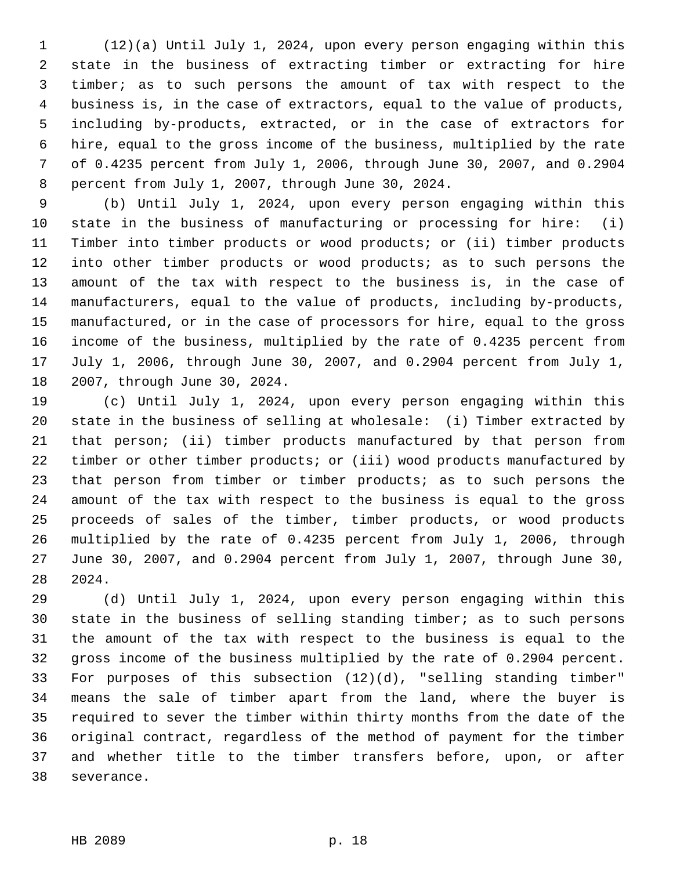1 (12)(a) Until July 1, 2024, upon every person engaging within this 2 state in the business of extracting timber or extracting for hire 3 timber; as to such persons the amount of tax with respect to the 4 business is, in the case of extractors, equal to the value of products, 5 including by-products, extracted, or in the case of extractors for 6 hire, equal to the gross income of the business, multiplied by the rate 7 of 0.4235 percent from July 1, 2006, through June 30, 2007, and 0.2904 8 percent from July 1, 2007, through June 30, 2024.

 9 (b) Until July 1, 2024, upon every person engaging within this 10 state in the business of manufacturing or processing for hire: (i) 11 Timber into timber products or wood products; or (ii) timber products 12 into other timber products or wood products; as to such persons the 13 amount of the tax with respect to the business is, in the case of 14 manufacturers, equal to the value of products, including by-products, 15 manufactured, or in the case of processors for hire, equal to the gross 16 income of the business, multiplied by the rate of 0.4235 percent from 17 July 1, 2006, through June 30, 2007, and 0.2904 percent from July 1, 18 2007, through June 30, 2024.

19 (c) Until July 1, 2024, upon every person engaging within this 20 state in the business of selling at wholesale: (i) Timber extracted by 21 that person; (ii) timber products manufactured by that person from 22 timber or other timber products; or (iii) wood products manufactured by 23 that person from timber or timber products; as to such persons the 24 amount of the tax with respect to the business is equal to the gross 25 proceeds of sales of the timber, timber products, or wood products 26 multiplied by the rate of 0.4235 percent from July 1, 2006, through 27 June 30, 2007, and 0.2904 percent from July 1, 2007, through June 30, 28 2024.

29 (d) Until July 1, 2024, upon every person engaging within this 30 state in the business of selling standing timber; as to such persons 31 the amount of the tax with respect to the business is equal to the 32 gross income of the business multiplied by the rate of 0.2904 percent. 33 For purposes of this subsection (12)(d), "selling standing timber" 34 means the sale of timber apart from the land, where the buyer is 35 required to sever the timber within thirty months from the date of the 36 original contract, regardless of the method of payment for the timber 37 and whether title to the timber transfers before, upon, or after 38 severance.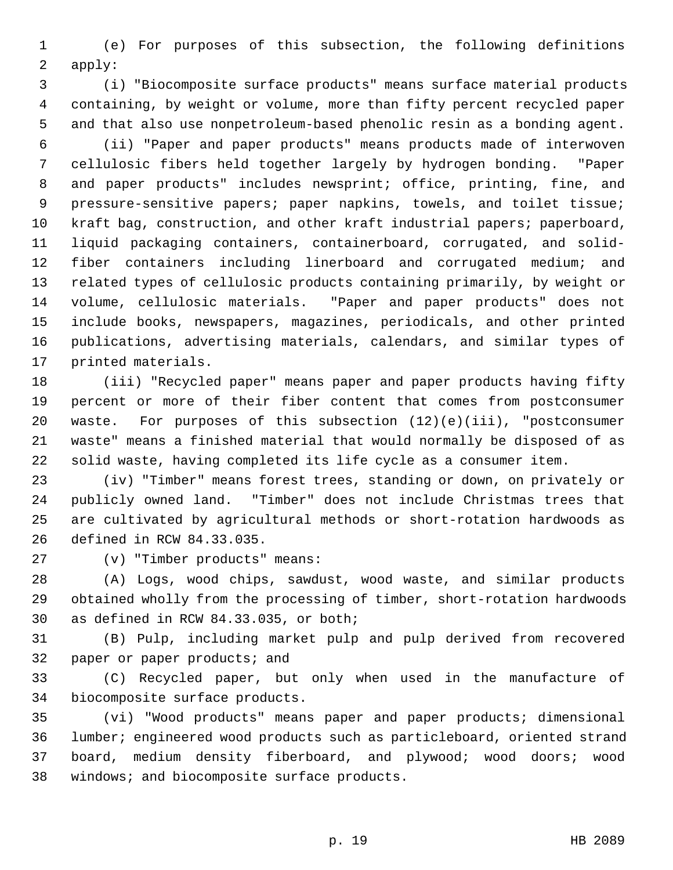1 (e) For purposes of this subsection, the following definitions 2 apply:

 3 (i) "Biocomposite surface products" means surface material products 4 containing, by weight or volume, more than fifty percent recycled paper 5 and that also use nonpetroleum-based phenolic resin as a bonding agent.

 6 (ii) "Paper and paper products" means products made of interwoven 7 cellulosic fibers held together largely by hydrogen bonding. "Paper 8 and paper products" includes newsprint; office, printing, fine, and 9 pressure-sensitive papers; paper napkins, towels, and toilet tissue; 10 kraft bag, construction, and other kraft industrial papers; paperboard, 11 liquid packaging containers, containerboard, corrugated, and solid-12 fiber containers including linerboard and corrugated medium; and 13 related types of cellulosic products containing primarily, by weight or 14 volume, cellulosic materials. "Paper and paper products" does not 15 include books, newspapers, magazines, periodicals, and other printed 16 publications, advertising materials, calendars, and similar types of 17 printed materials.

18 (iii) "Recycled paper" means paper and paper products having fifty 19 percent or more of their fiber content that comes from postconsumer 20 waste. For purposes of this subsection (12)(e)(iii), "postconsumer 21 waste" means a finished material that would normally be disposed of as 22 solid waste, having completed its life cycle as a consumer item.

23 (iv) "Timber" means forest trees, standing or down, on privately or 24 publicly owned land. "Timber" does not include Christmas trees that 25 are cultivated by agricultural methods or short-rotation hardwoods as 26 defined in RCW 84.33.035.

27 (v) "Timber products" means:

28 (A) Logs, wood chips, sawdust, wood waste, and similar products 29 obtained wholly from the processing of timber, short-rotation hardwoods 30 as defined in RCW 84.33.035, or both;

31 (B) Pulp, including market pulp and pulp derived from recovered 32 paper or paper products; and

33 (C) Recycled paper, but only when used in the manufacture of 34 biocomposite surface products.

35 (vi) "Wood products" means paper and paper products; dimensional 36 lumber; engineered wood products such as particleboard, oriented strand 37 board, medium density fiberboard, and plywood; wood doors; wood 38 windows; and biocomposite surface products.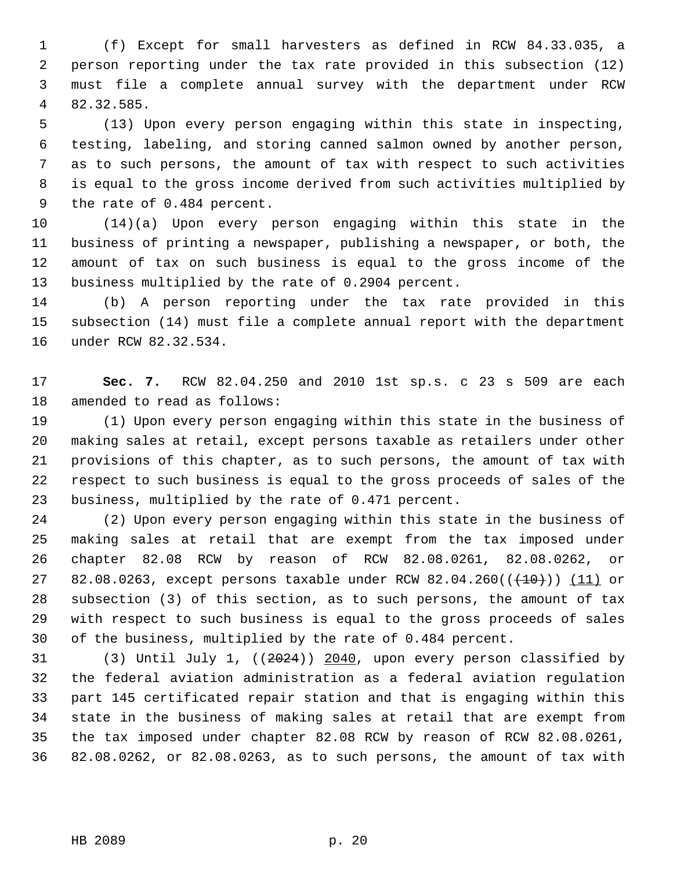1 (f) Except for small harvesters as defined in RCW 84.33.035, a 2 person reporting under the tax rate provided in this subsection (12) 3 must file a complete annual survey with the department under RCW 4 82.32.585.

 5 (13) Upon every person engaging within this state in inspecting, 6 testing, labeling, and storing canned salmon owned by another person, 7 as to such persons, the amount of tax with respect to such activities 8 is equal to the gross income derived from such activities multiplied by 9 the rate of 0.484 percent.

10 (14)(a) Upon every person engaging within this state in the 11 business of printing a newspaper, publishing a newspaper, or both, the 12 amount of tax on such business is equal to the gross income of the 13 business multiplied by the rate of 0.2904 percent.

14 (b) A person reporting under the tax rate provided in this 15 subsection (14) must file a complete annual report with the department 16 under RCW 82.32.534.

17 **Sec. 7.** RCW 82.04.250 and 2010 1st sp.s. c 23 s 509 are each 18 amended to read as follows:

19 (1) Upon every person engaging within this state in the business of 20 making sales at retail, except persons taxable as retailers under other 21 provisions of this chapter, as to such persons, the amount of tax with 22 respect to such business is equal to the gross proceeds of sales of the 23 business, multiplied by the rate of 0.471 percent.

24 (2) Upon every person engaging within this state in the business of 25 making sales at retail that are exempt from the tax imposed under 26 chapter 82.08 RCW by reason of RCW 82.08.0261, 82.08.0262, or 27 82.08.0263, except persons taxable under RCW 82.04.260(( $\left(\frac{10}{10}\right)$ ) (11) or 28 subsection (3) of this section, as to such persons, the amount of tax 29 with respect to such business is equal to the gross proceeds of sales 30 of the business, multiplied by the rate of 0.484 percent.

31 (3) Until July 1, ((2024)) 2040, upon every person classified by 32 the federal aviation administration as a federal aviation regulation 33 part 145 certificated repair station and that is engaging within this 34 state in the business of making sales at retail that are exempt from 35 the tax imposed under chapter 82.08 RCW by reason of RCW 82.08.0261, 36 82.08.0262, or 82.08.0263, as to such persons, the amount of tax with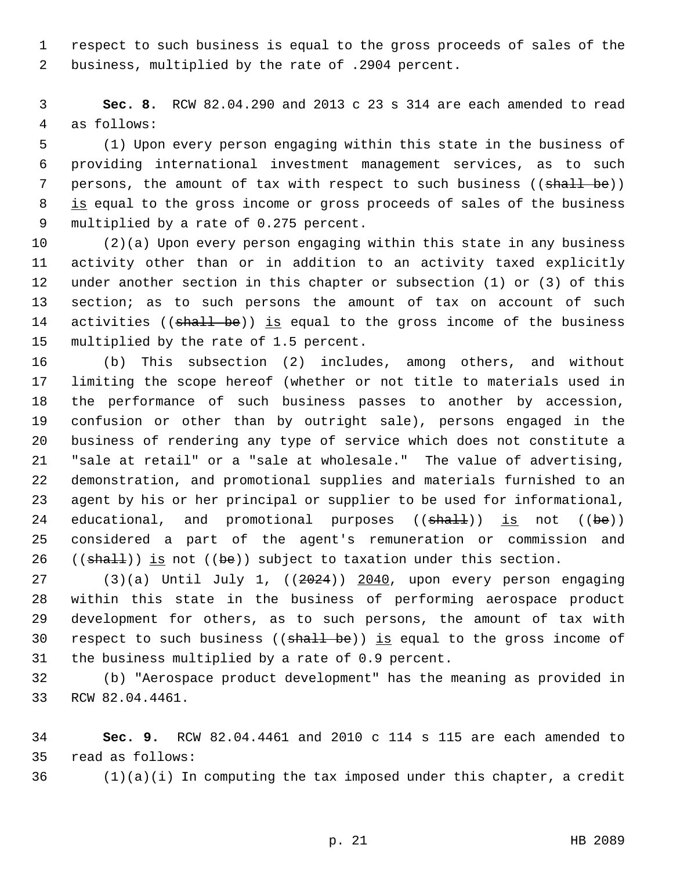1 respect to such business is equal to the gross proceeds of sales of the 2 business, multiplied by the rate of .2904 percent.

 3 **Sec. 8.** RCW 82.04.290 and 2013 c 23 s 314 are each amended to read 4 as follows:

 5 (1) Upon every person engaging within this state in the business of 6 providing international investment management services, as to such 7 persons, the amount of tax with respect to such business ((shall be)) 8 is equal to the gross income or gross proceeds of sales of the business 9 multiplied by a rate of 0.275 percent.

10 (2)(a) Upon every person engaging within this state in any business 11 activity other than or in addition to an activity taxed explicitly 12 under another section in this chapter or subsection (1) or (3) of this 13 section; as to such persons the amount of tax on account of such 14 activities ((shall be)) is equal to the gross income of the business 15 multiplied by the rate of 1.5 percent.

16 (b) This subsection (2) includes, among others, and without 17 limiting the scope hereof (whether or not title to materials used in 18 the performance of such business passes to another by accession, 19 confusion or other than by outright sale), persons engaged in the 20 business of rendering any type of service which does not constitute a 21 "sale at retail" or a "sale at wholesale." The value of advertising, 22 demonstration, and promotional supplies and materials furnished to an 23 agent by his or her principal or supplier to be used for informational, 24 educational, and promotional purposes  $((shall))$  is not  $((be))$ 25 considered a part of the agent's remuneration or commission and 26  $((shalt))$  is not  $((be))$  subject to taxation under this section.

27 (3)(a) Until July 1, ((2024)) 2040, upon every person engaging 28 within this state in the business of performing aerospace product 29 development for others, as to such persons, the amount of tax with 30 respect to such business  $((shall be))$  is equal to the gross income of 31 the business multiplied by a rate of 0.9 percent.

32 (b) "Aerospace product development" has the meaning as provided in 33 RCW 82.04.4461.

34 **Sec. 9.** RCW 82.04.4461 and 2010 c 114 s 115 are each amended to 35 read as follows:

 $36$  (1)(a)(i) In computing the tax imposed under this chapter, a credit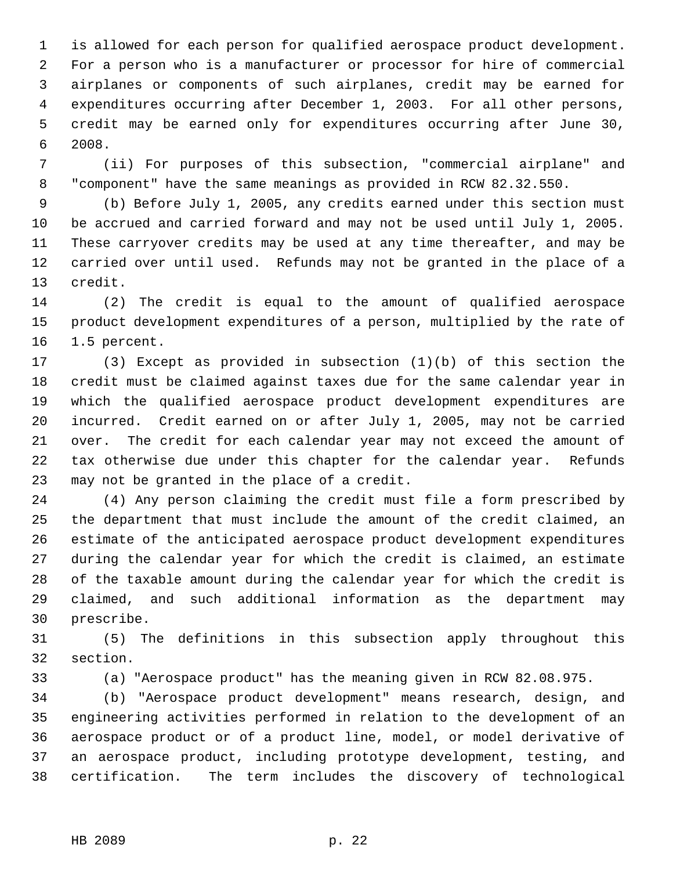1 is allowed for each person for qualified aerospace product development. 2 For a person who is a manufacturer or processor for hire of commercial 3 airplanes or components of such airplanes, credit may be earned for 4 expenditures occurring after December 1, 2003. For all other persons, 5 credit may be earned only for expenditures occurring after June 30, 6 2008.

 7 (ii) For purposes of this subsection, "commercial airplane" and 8 "component" have the same meanings as provided in RCW 82.32.550.

 9 (b) Before July 1, 2005, any credits earned under this section must 10 be accrued and carried forward and may not be used until July 1, 2005. 11 These carryover credits may be used at any time thereafter, and may be 12 carried over until used. Refunds may not be granted in the place of a 13 credit.

14 (2) The credit is equal to the amount of qualified aerospace 15 product development expenditures of a person, multiplied by the rate of 16 1.5 percent.

17 (3) Except as provided in subsection (1)(b) of this section the 18 credit must be claimed against taxes due for the same calendar year in 19 which the qualified aerospace product development expenditures are 20 incurred. Credit earned on or after July 1, 2005, may not be carried 21 over. The credit for each calendar year may not exceed the amount of 22 tax otherwise due under this chapter for the calendar year. Refunds 23 may not be granted in the place of a credit.

24 (4) Any person claiming the credit must file a form prescribed by 25 the department that must include the amount of the credit claimed, an 26 estimate of the anticipated aerospace product development expenditures 27 during the calendar year for which the credit is claimed, an estimate 28 of the taxable amount during the calendar year for which the credit is 29 claimed, and such additional information as the department may 30 prescribe.

31 (5) The definitions in this subsection apply throughout this 32 section.

33 (a) "Aerospace product" has the meaning given in RCW 82.08.975.

34 (b) "Aerospace product development" means research, design, and 35 engineering activities performed in relation to the development of an 36 aerospace product or of a product line, model, or model derivative of 37 an aerospace product, including prototype development, testing, and 38 certification. The term includes the discovery of technological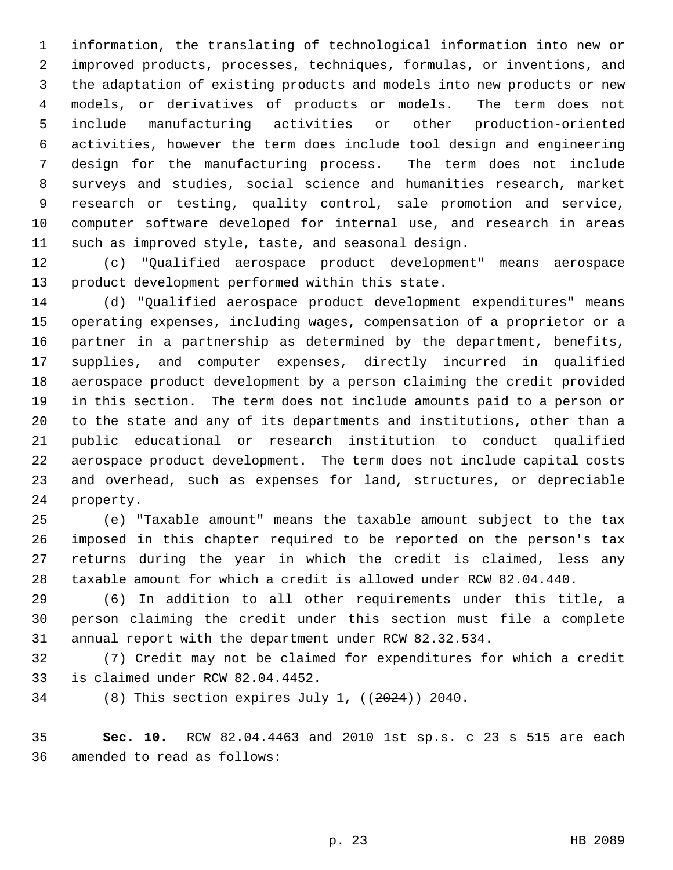1 information, the translating of technological information into new or 2 improved products, processes, techniques, formulas, or inventions, and 3 the adaptation of existing products and models into new products or new 4 models, or derivatives of products or models. The term does not 5 include manufacturing activities or other production-oriented 6 activities, however the term does include tool design and engineering 7 design for the manufacturing process. The term does not include 8 surveys and studies, social science and humanities research, market 9 research or testing, quality control, sale promotion and service, 10 computer software developed for internal use, and research in areas 11 such as improved style, taste, and seasonal design.

12 (c) "Qualified aerospace product development" means aerospace 13 product development performed within this state.

14 (d) "Qualified aerospace product development expenditures" means 15 operating expenses, including wages, compensation of a proprietor or a 16 partner in a partnership as determined by the department, benefits, 17 supplies, and computer expenses, directly incurred in qualified 18 aerospace product development by a person claiming the credit provided 19 in this section. The term does not include amounts paid to a person or 20 to the state and any of its departments and institutions, other than a 21 public educational or research institution to conduct qualified 22 aerospace product development. The term does not include capital costs 23 and overhead, such as expenses for land, structures, or depreciable 24 property.

25 (e) "Taxable amount" means the taxable amount subject to the tax 26 imposed in this chapter required to be reported on the person's tax 27 returns during the year in which the credit is claimed, less any 28 taxable amount for which a credit is allowed under RCW 82.04.440.

29 (6) In addition to all other requirements under this title, a 30 person claiming the credit under this section must file a complete 31 annual report with the department under RCW 82.32.534.

32 (7) Credit may not be claimed for expenditures for which a credit 33 is claimed under RCW 82.04.4452.

34 (8) This section expires July 1, ((2024)) 2040.

35 **Sec. 10.** RCW 82.04.4463 and 2010 1st sp.s. c 23 s 515 are each 36 amended to read as follows: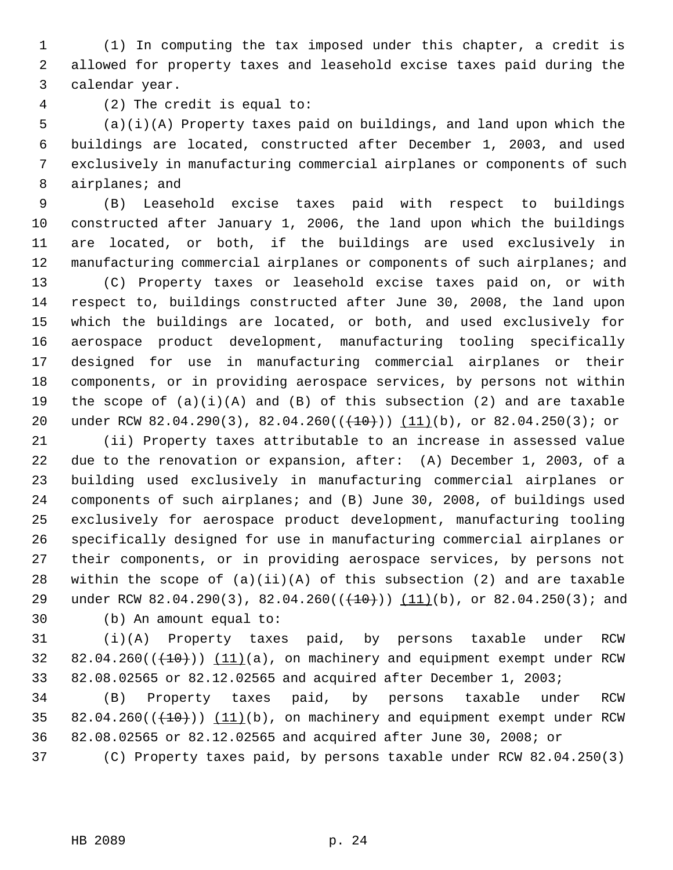1 (1) In computing the tax imposed under this chapter, a credit is 2 allowed for property taxes and leasehold excise taxes paid during the 3 calendar year.

4 (2) The credit is equal to:

 5 (a)(i)(A) Property taxes paid on buildings, and land upon which the 6 buildings are located, constructed after December 1, 2003, and used 7 exclusively in manufacturing commercial airplanes or components of such 8 airplanes; and

 9 (B) Leasehold excise taxes paid with respect to buildings 10 constructed after January 1, 2006, the land upon which the buildings 11 are located, or both, if the buildings are used exclusively in 12 manufacturing commercial airplanes or components of such airplanes; and

13 (C) Property taxes or leasehold excise taxes paid on, or with 14 respect to, buildings constructed after June 30, 2008, the land upon 15 which the buildings are located, or both, and used exclusively for 16 aerospace product development, manufacturing tooling specifically 17 designed for use in manufacturing commercial airplanes or their 18 components, or in providing aerospace services, by persons not within 19 the scope of  $(a)(i)(A)$  and  $(B)$  of this subsection  $(2)$  and are taxable 20 under RCW 82.04.290(3), 82.04.260(( $(10)$ )) (11)(b), or 82.04.250(3); or

21 (ii) Property taxes attributable to an increase in assessed value 22 due to the renovation or expansion, after: (A) December 1, 2003, of a 23 building used exclusively in manufacturing commercial airplanes or 24 components of such airplanes; and (B) June 30, 2008, of buildings used 25 exclusively for aerospace product development, manufacturing tooling 26 specifically designed for use in manufacturing commercial airplanes or 27 their components, or in providing aerospace services, by persons not 28 within the scope of  $(a)(ii)(A)$  of this subsection  $(2)$  and are taxable 29 under RCW 82.04.290(3), 82.04.260( $(\frac{10}{10})$  (11)(b), or 82.04.250(3); and 30 (b) An amount equal to:

31 (i)(A) Property taxes paid, by persons taxable under RCW  $32$   $82.04.260$  ( $(40)$ )) (11)(a), on machinery and equipment exempt under RCW 33 82.08.02565 or 82.12.02565 and acquired after December 1, 2003;

34 (B) Property taxes paid, by persons taxable under RCW 35 82.04.260 $((+10))$   $(11)(b)$ , on machinery and equipment exempt under RCW 36 82.08.02565 or 82.12.02565 and acquired after June 30, 2008; or

37 (C) Property taxes paid, by persons taxable under RCW 82.04.250(3)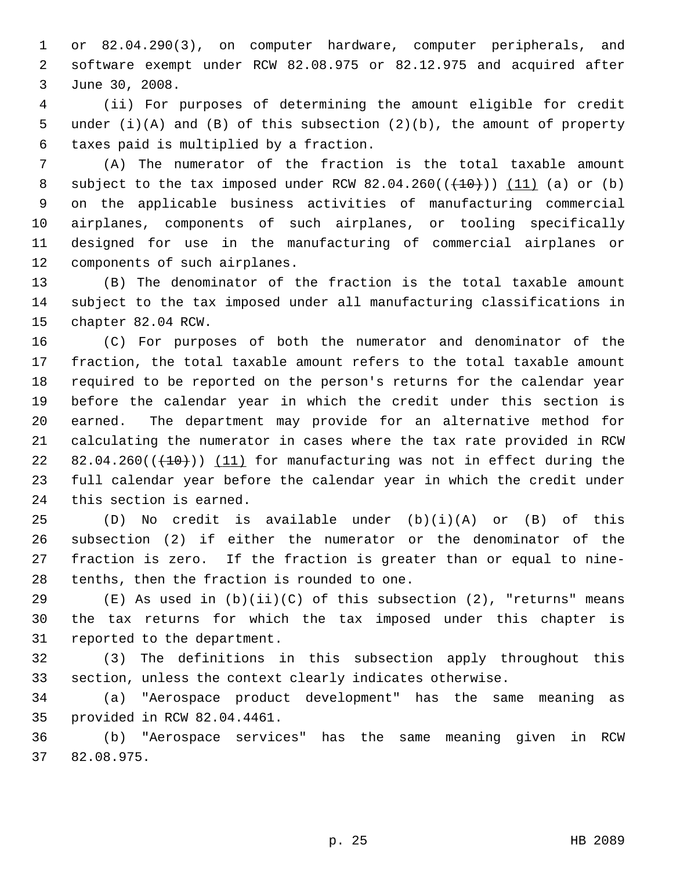1 or 82.04.290(3), on computer hardware, computer peripherals, and 2 software exempt under RCW 82.08.975 or 82.12.975 and acquired after 3 June 30, 2008.

 4 (ii) For purposes of determining the amount eligible for credit 5 under (i)(A) and (B) of this subsection (2)(b), the amount of property 6 taxes paid is multiplied by a fraction.

 7 (A) The numerator of the fraction is the total taxable amount 8 subject to the tax imposed under RCW  $82.04.260((+10))$  (11) (a) or (b) 9 on the applicable business activities of manufacturing commercial 10 airplanes, components of such airplanes, or tooling specifically 11 designed for use in the manufacturing of commercial airplanes or 12 components of such airplanes.

13 (B) The denominator of the fraction is the total taxable amount 14 subject to the tax imposed under all manufacturing classifications in 15 chapter 82.04 RCW.

16 (C) For purposes of both the numerator and denominator of the 17 fraction, the total taxable amount refers to the total taxable amount 18 required to be reported on the person's returns for the calendar year 19 before the calendar year in which the credit under this section is 20 earned. The department may provide for an alternative method for 21 calculating the numerator in cases where the tax rate provided in RCW 22 82.04.260 $((+10))$  (11) for manufacturing was not in effect during the 23 full calendar year before the calendar year in which the credit under 24 this section is earned.

25 (D) No credit is available under (b)(i)(A) or (B) of this 26 subsection (2) if either the numerator or the denominator of the 27 fraction is zero. If the fraction is greater than or equal to nine-28 tenths, then the fraction is rounded to one.

29  $(E)$  As used in  $(b)(ii)(C)$  of this subsection  $(2)$ , "returns" means 30 the tax returns for which the tax imposed under this chapter is 31 reported to the department.

32 (3) The definitions in this subsection apply throughout this 33 section, unless the context clearly indicates otherwise.

34 (a) "Aerospace product development" has the same meaning as 35 provided in RCW 82.04.4461.

36 (b) "Aerospace services" has the same meaning given in RCW 37 82.08.975.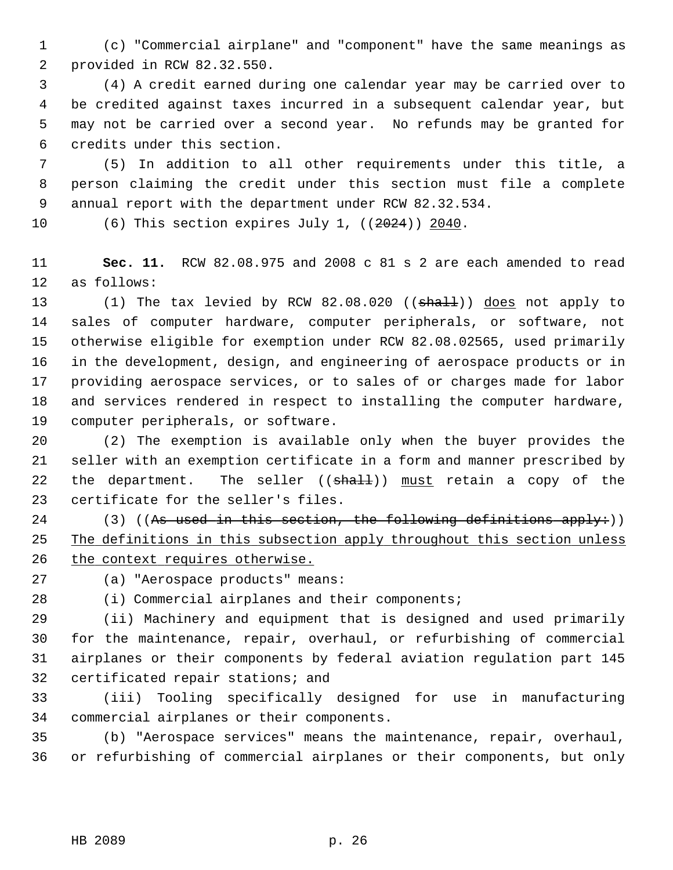1 (c) "Commercial airplane" and "component" have the same meanings as 2 provided in RCW 82.32.550.

 3 (4) A credit earned during one calendar year may be carried over to 4 be credited against taxes incurred in a subsequent calendar year, but 5 may not be carried over a second year. No refunds may be granted for 6 credits under this section.

 7 (5) In addition to all other requirements under this title, a 8 person claiming the credit under this section must file a complete 9 annual report with the department under RCW 82.32.534.

10 (6) This section expires July 1, ((2024)) 2040.

11 **Sec. 11.** RCW 82.08.975 and 2008 c 81 s 2 are each amended to read 12 as follows:

13 (1) The tax levied by RCW 82.08.020 ((shall)) does not apply to 14 sales of computer hardware, computer peripherals, or software, not 15 otherwise eligible for exemption under RCW 82.08.02565, used primarily 16 in the development, design, and engineering of aerospace products or in 17 providing aerospace services, or to sales of or charges made for labor 18 and services rendered in respect to installing the computer hardware, 19 computer peripherals, or software.

20 (2) The exemption is available only when the buyer provides the 21 seller with an exemption certificate in a form and manner prescribed by 22 the department. The seller  $((shall))$  must retain a copy of the 23 certificate for the seller's files.

24 (3) ((As used in this section, the following definitions apply:)) 25 The definitions in this subsection apply throughout this section unless 26 the context requires otherwise.

27 (a) "Aerospace products" means:

28 (i) Commercial airplanes and their components;

29 (ii) Machinery and equipment that is designed and used primarily 30 for the maintenance, repair, overhaul, or refurbishing of commercial 31 airplanes or their components by federal aviation regulation part 145 32 certificated repair stations; and

33 (iii) Tooling specifically designed for use in manufacturing 34 commercial airplanes or their components.

35 (b) "Aerospace services" means the maintenance, repair, overhaul, 36 or refurbishing of commercial airplanes or their components, but only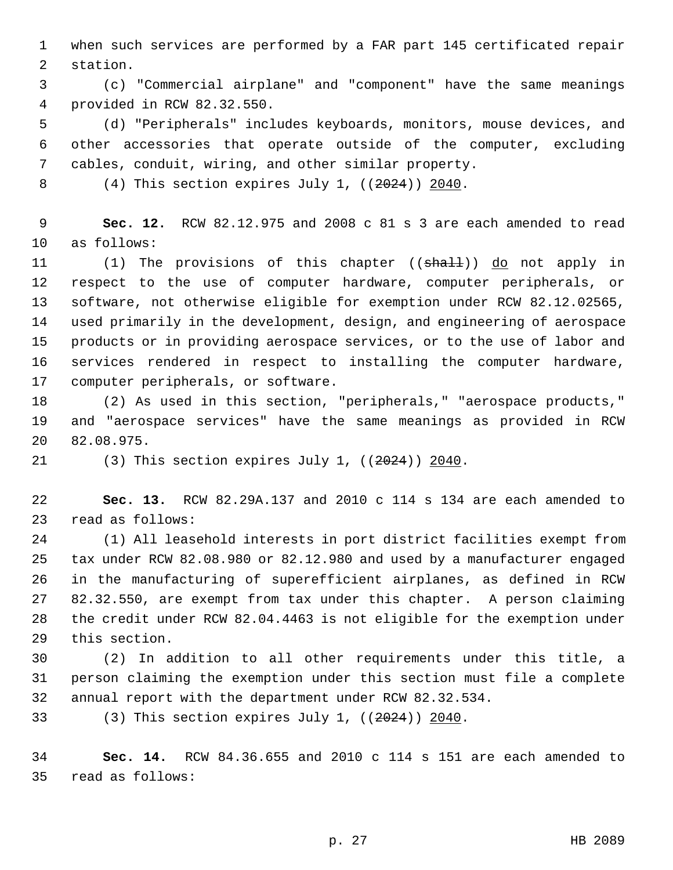1 when such services are performed by a FAR part 145 certificated repair 2 station.

 3 (c) "Commercial airplane" and "component" have the same meanings 4 provided in RCW 82.32.550.

 5 (d) "Peripherals" includes keyboards, monitors, mouse devices, and 6 other accessories that operate outside of the computer, excluding 7 cables, conduit, wiring, and other similar property.

8 (4) This section expires July 1, ((2024)) 2040.

 9 **Sec. 12.** RCW 82.12.975 and 2008 c 81 s 3 are each amended to read 10 as follows:

11 (1) The provisions of this chapter ((shall)) do not apply in 12 respect to the use of computer hardware, computer peripherals, or 13 software, not otherwise eligible for exemption under RCW 82.12.02565, 14 used primarily in the development, design, and engineering of aerospace 15 products or in providing aerospace services, or to the use of labor and 16 services rendered in respect to installing the computer hardware, 17 computer peripherals, or software.

18 (2) As used in this section, "peripherals," "aerospace products," 19 and "aerospace services" have the same meanings as provided in RCW 20 82.08.975.

21 (3) This section expires July 1, ((2024)) 2040.

22 **Sec. 13.** RCW 82.29A.137 and 2010 c 114 s 134 are each amended to 23 read as follows:

24 (1) All leasehold interests in port district facilities exempt from 25 tax under RCW 82.08.980 or 82.12.980 and used by a manufacturer engaged 26 in the manufacturing of superefficient airplanes, as defined in RCW 27 82.32.550, are exempt from tax under this chapter. A person claiming 28 the credit under RCW 82.04.4463 is not eligible for the exemption under 29 this section.

30 (2) In addition to all other requirements under this title, a 31 person claiming the exemption under this section must file a complete 32 annual report with the department under RCW 82.32.534.

33 (3) This section expires July 1,  $((2024))$  2040.

34 **Sec. 14.** RCW 84.36.655 and 2010 c 114 s 151 are each amended to 35 read as follows: